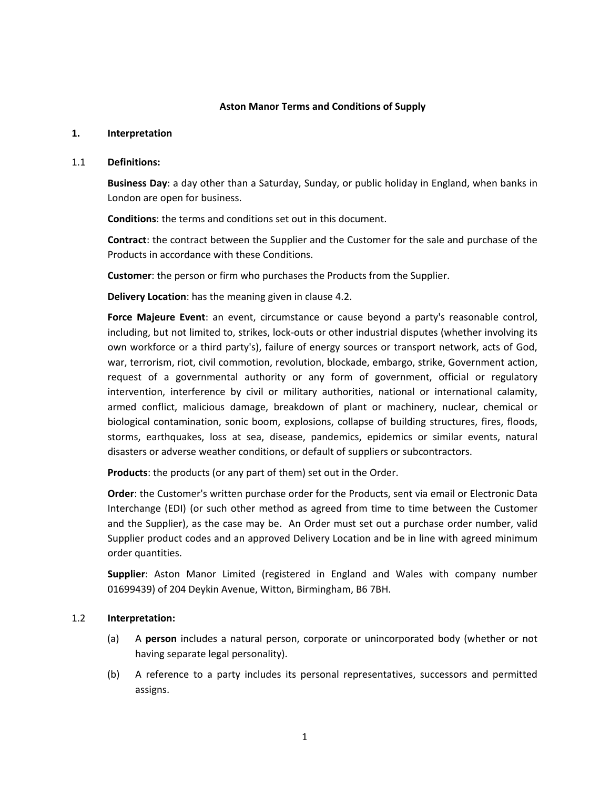#### **Aston Manor Terms and Conditions of Supply**

#### **1. Interpretation**

#### 1.1 **Definitions:**

**Business Day**: a day other than a Saturday, Sunday, or public holiday in England, when banks in London are open for business.

**Conditions**: the terms and conditions set out in this document.

**Contract**: the contract between the Supplier and the Customer for the sale and purchase of the Products in accordance with these Conditions.

**Customer**: the person or firm who purchases the Products from the Supplier.

**Delivery Location**: has the meaning given in [clause 4.2.](#page-2-0)

**Force Majeure Event**: an event, circumstance or cause beyond a party's reasonable control, including, but not limited to, strikes, lock-outs or other industrial disputes (whether involving its own workforce or a third party's), failure of energy sources or transport network, acts of God, war, terrorism, riot, civil commotion, revolution, blockade, embargo, strike, Government action, request of a governmental authority or any form of government, official or regulatory intervention, interference by civil or military authorities, national or international calamity, armed conflict, malicious damage, breakdown of plant or machinery, nuclear, chemical or biological contamination, sonic boom, explosions, collapse of building structures, fires, floods, storms, earthquakes, loss at sea, disease, pandemics, epidemics or similar events, natural disasters or adverse weather conditions, or default of suppliers or subcontractors.

**Products**: the products (or any part of them) set out in the Order.

**Order**: the Customer's written purchase order for the Products, sent via email or Electronic Data Interchange (EDI) (or such other method as agreed from time to time between the Customer and the Supplier), as the case may be. An Order must set out a purchase order number, valid Supplier product codes and an approved Delivery Location and be in line with agreed minimum order quantities.

**Supplier**: Aston Manor Limited (registered in England and Wales with company number 01699439) of 204 Deykin Avenue, Witton, Birmingham, B6 7BH.

### 1.2 **Interpretation:**

- (a) A **person** includes a natural person, corporate or unincorporated body (whether or not having separate legal personality).
- (b) A reference to a party includes its personal representatives, successors and permitted assigns.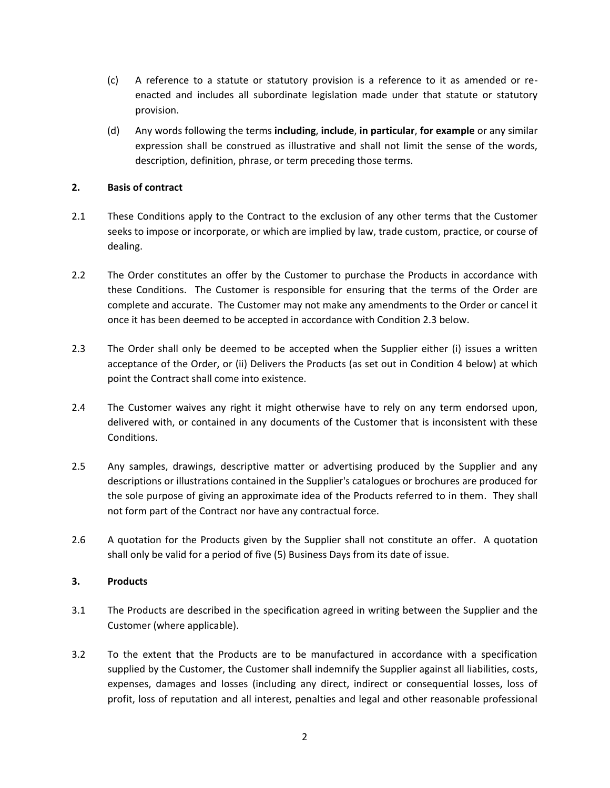- (c) A reference to a statute or statutory provision is a reference to it as amended or reenacted and includes all subordinate legislation made under that statute or statutory provision.
- (d) Any words following the terms **including**, **include**, **in particular**, **for example** or any similar expression shall be construed as illustrative and shall not limit the sense of the words, description, definition, phrase, or term preceding those terms.

### **2. Basis of contract**

- 2.1 These Conditions apply to the Contract to the exclusion of any other terms that the Customer seeks to impose or incorporate, or which are implied by law, trade custom, practice, or course of dealing.
- 2.2 The Order constitutes an offer by the Customer to purchase the Products in accordance with these Conditions. The Customer is responsible for ensuring that the terms of the Order are complete and accurate. The Customer may not make any amendments to the Order or cancel it once it has been deemed to be accepted in accordance with Conditio[n 2.3](#page-1-0) below.
- <span id="page-1-0"></span>2.3 The Order shall only be deemed to be accepted when the Supplier either (i) issues a written acceptance of the Order, or (ii) Delivers the Products (as set out in Condition [4](#page-2-1) below) at which point the Contract shall come into existence.
- 2.4 The Customer waives any right it might otherwise have to rely on any term endorsed upon, delivered with, or contained in any documents of the Customer that is inconsistent with these Conditions.
- 2.5 Any samples, drawings, descriptive matter or advertising produced by the Supplier and any descriptions or illustrations contained in the Supplier's catalogues or brochures are produced for the sole purpose of giving an approximate idea of the Products referred to in them. They shall not form part of the Contract nor have any contractual force.
- 2.6 A quotation for the Products given by the Supplier shall not constitute an offer. A quotation shall only be valid for a period of five (5) Business Days from its date of issue.

### **3. Products**

- 3.1 The Products are described in the specification agreed in writing between the Supplier and the Customer (where applicable).
- <span id="page-1-1"></span>3.2 To the extent that the Products are to be manufactured in accordance with a specification supplied by the Customer, the Customer shall indemnify the Supplier against all liabilities, costs, expenses, damages and losses (including any direct, indirect or consequential losses, loss of profit, loss of reputation and all interest, penalties and legal and other reasonable professional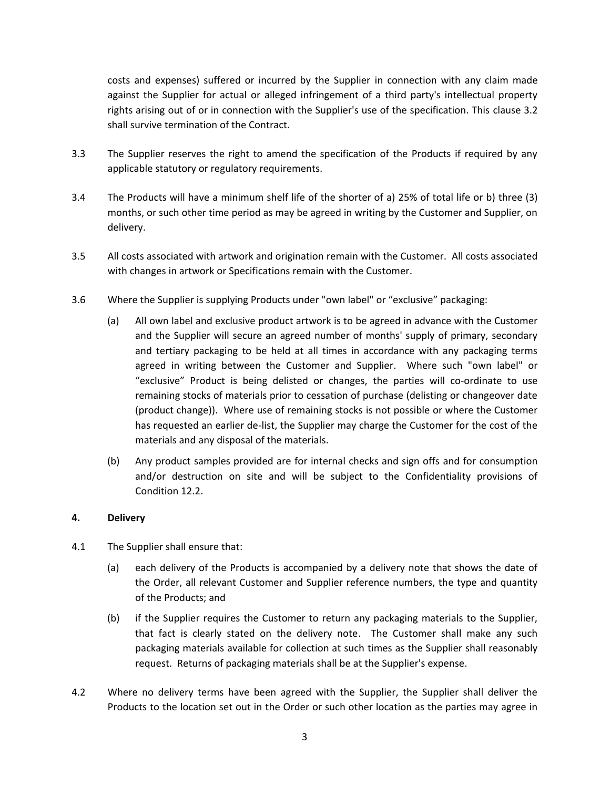costs and expenses) suffered or incurred by the Supplier in connection with any claim made against the Supplier for actual or alleged infringement of a third party's intellectual property rights arising out of or in connection with the Supplier's use of the specification. This [clause 3.2](#page-1-1) shall survive termination of the Contract.

- 3.3 The Supplier reserves the right to amend the specification of the Products if required by any applicable statutory or regulatory requirements.
- 3.4 The Products will have a minimum shelf life of the shorter of a) 25% of total life or b) three (3) months, or such other time period as may be agreed in writing by the Customer and Supplier, on delivery.
- 3.5 All costs associated with artwork and origination remain with the Customer. All costs associated with changes in artwork or Specifications remain with the Customer.
- 3.6 Where the Supplier is supplying Products under "own label" or "exclusive" packaging:
	- (a) All own label and exclusive product artwork is to be agreed in advance with the Customer and the Supplier will secure an agreed number of months' supply of primary, secondary and tertiary packaging to be held at all times in accordance with any packaging terms agreed in writing between the Customer and Supplier. Where such "own label" or "exclusive" Product is being delisted or changes, the parties will co-ordinate to use remaining stocks of materials prior to cessation of purchase (delisting or changeover date (product change)). Where use of remaining stocks is not possible or where the Customer has requested an earlier de-list, the Supplier may charge the Customer for the cost of the materials and any disposal of the materials.
	- (b) Any product samples provided are for internal checks and sign offs and for consumption and/or destruction on site and will be subject to the Confidentiality provisions of Condition [12.2.](#page-11-0)

### <span id="page-2-1"></span>**4. Delivery**

- 4.1 The Supplier shall ensure that:
	- (a) each delivery of the Products is accompanied by a delivery note that shows the date of the Order, all relevant Customer and Supplier reference numbers, the type and quantity of the Products; and
	- (b) if the Supplier requires the Customer to return any packaging materials to the Supplier, that fact is clearly stated on the delivery note. The Customer shall make any such packaging materials available for collection at such times as the Supplier shall reasonably request. Returns of packaging materials shall be at the Supplier's expense.
- <span id="page-2-0"></span>4.2 Where no delivery terms have been agreed with the Supplier, the Supplier shall deliver the Products to the location set out in the Order or such other location as the parties may agree in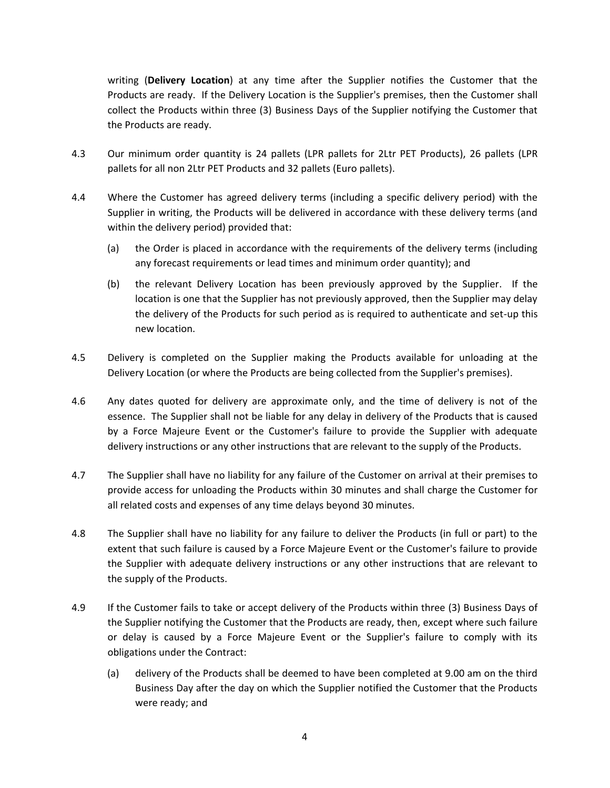writing (**Delivery Location**) at any time after the Supplier notifies the Customer that the Products are ready. If the Delivery Location is the Supplier's premises, then the Customer shall collect the Products within three (3) Business Days of the Supplier notifying the Customer that the Products are ready.

- 4.3 Our minimum order quantity is 24 pallets (LPR pallets for 2Ltr PET Products), 26 pallets (LPR pallets for all non 2Ltr PET Products and 32 pallets (Euro pallets).
- 4.4 Where the Customer has agreed delivery terms (including a specific delivery period) with the Supplier in writing, the Products will be delivered in accordance with these delivery terms (and within the delivery period) provided that:
	- (a) the Order is placed in accordance with the requirements of the delivery terms (including any forecast requirements or lead times and minimum order quantity); and
	- (b) the relevant Delivery Location has been previously approved by the Supplier. If the location is one that the Supplier has not previously approved, then the Supplier may delay the delivery of the Products for such period as is required to authenticate and set-up this new location.
- 4.5 Delivery is completed on the Supplier making the Products available for unloading at the Delivery Location (or where the Products are being collected from the Supplier's premises).
- 4.6 Any dates quoted for delivery are approximate only, and the time of delivery is not of the essence. The Supplier shall not be liable for any delay in delivery of the Products that is caused by a Force Majeure Event or the Customer's failure to provide the Supplier with adequate delivery instructions or any other instructions that are relevant to the supply of the Products.
- 4.7 The Supplier shall have no liability for any failure of the Customer on arrival at their premises to provide access for unloading the Products within 30 minutes and shall charge the Customer for all related costs and expenses of any time delays beyond 30 minutes.
- 4.8 The Supplier shall have no liability for any failure to deliver the Products (in full or part) to the extent that such failure is caused by a Force Majeure Event or the Customer's failure to provide the Supplier with adequate delivery instructions or any other instructions that are relevant to the supply of the Products.
- 4.9 If the Customer fails to take or accept delivery of the Products within three (3) Business Days of the Supplier notifying the Customer that the Products are ready, then, except where such failure or delay is caused by a Force Majeure Event or the Supplier's failure to comply with its obligations under the Contract:
	- (a) delivery of the Products shall be deemed to have been completed at 9.00 am on the third Business Day after the day on which the Supplier notified the Customer that the Products were ready; and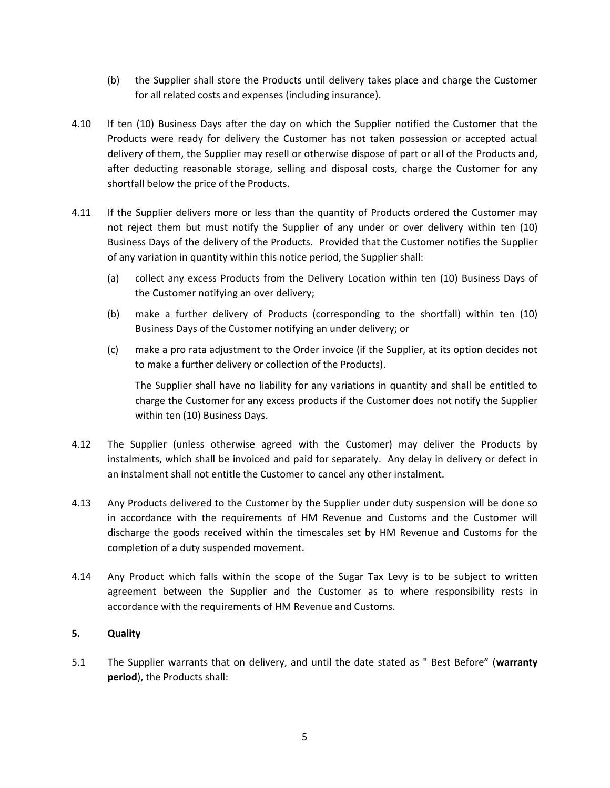- (b) the Supplier shall store the Products until delivery takes place and charge the Customer for all related costs and expenses (including insurance).
- 4.10 If ten (10) Business Days after the day on which the Supplier notified the Customer that the Products were ready for delivery the Customer has not taken possession or accepted actual delivery of them, the Supplier may resell or otherwise dispose of part or all of the Products and, after deducting reasonable storage, selling and disposal costs, charge the Customer for any shortfall below the price of the Products.
- 4.11 If the Supplier delivers more or less than the quantity of Products ordered the Customer may not reject them but must notify the Supplier of any under or over delivery within ten (10) Business Days of the delivery of the Products. Provided that the Customer notifies the Supplier of any variation in quantity within this notice period, the Supplier shall:
	- (a) collect any excess Products from the Delivery Location within ten (10) Business Days of the Customer notifying an over delivery;
	- (b) make a further delivery of Products (corresponding to the shortfall) within ten (10) Business Days of the Customer notifying an under delivery; or
	- (c) make a pro rata adjustment to the Order invoice (if the Supplier, at its option decides not to make a further delivery or collection of the Products).

The Supplier shall have no liability for any variations in quantity and shall be entitled to charge the Customer for any excess products if the Customer does not notify the Supplier within ten (10) Business Days.

- 4.12 The Supplier (unless otherwise agreed with the Customer) may deliver the Products by instalments, which shall be invoiced and paid for separately. Any delay in delivery or defect in an instalment shall not entitle the Customer to cancel any other instalment.
- 4.13 Any Products delivered to the Customer by the Supplier under duty suspension will be done so in accordance with the requirements of HM Revenue and Customs and the Customer will discharge the goods received within the timescales set by HM Revenue and Customs for the completion of a duty suspended movement.
- 4.14 Any Product which falls within the scope of the Sugar Tax Levy is to be subject to written agreement between the Supplier and the Customer as to where responsibility rests in accordance with the requirements of HM Revenue and Customs.

### <span id="page-4-1"></span>**5. Quality**

<span id="page-4-0"></span>5.1 The Supplier warrants that on delivery, and until the date stated as " Best Before" (**warranty period**), the Products shall: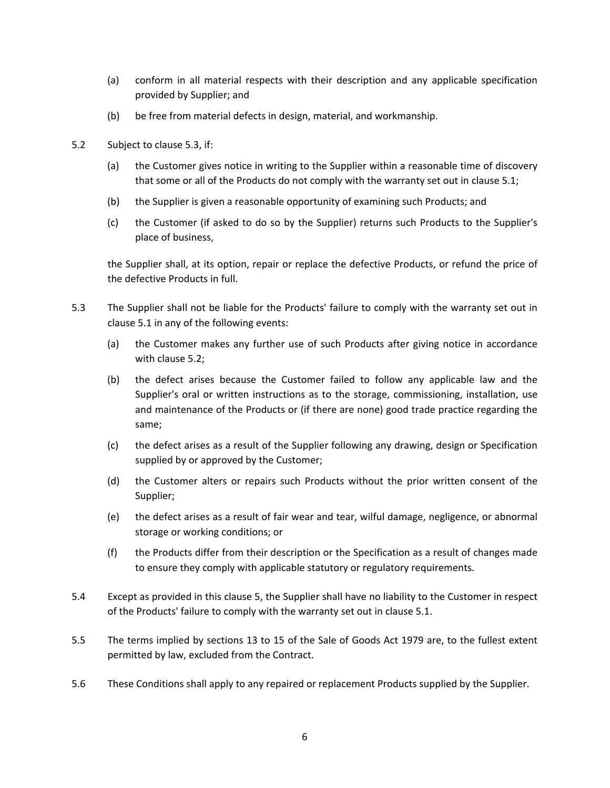- (a) conform in all material respects with their description and any applicable specification provided by Supplier; and
- (b) be free from material defects in design, material, and workmanship.
- <span id="page-5-1"></span>5.2 Subject to [clause 5.3,](#page-5-0) if:
	- (a) the Customer gives notice in writing to the Supplier within a reasonable time of discovery that some or all of the Products do not comply with the warranty set out in [clause 5.1;](#page-4-0)
	- (b) the Supplier is given a reasonable opportunity of examining such Products; and
	- (c) the Customer (if asked to do so by the Supplier) returns such Products to the Supplier's place of business,

the Supplier shall, at its option, repair or replace the defective Products, or refund the price of the defective Products in full.

- <span id="page-5-0"></span>5.3 The Supplier shall not be liable for the Products' failure to comply with the warranty set out in [clause 5.1](#page-4-0) in any of the following events:
	- (a) the Customer makes any further use of such Products after giving notice in accordance with [clause 5.2;](#page-5-1)
	- (b) the defect arises because the Customer failed to follow any applicable law and the Supplier's oral or written instructions as to the storage, commissioning, installation, use and maintenance of the Products or (if there are none) good trade practice regarding the same;
	- (c) the defect arises as a result of the Supplier following any drawing, design or Specification supplied by or approved by the Customer;
	- (d) the Customer alters or repairs such Products without the prior written consent of the Supplier;
	- (e) the defect arises as a result of fair wear and tear, wilful damage, negligence, or abnormal storage or working conditions; or
	- (f) the Products differ from their description or the Specification as a result of changes made to ensure they comply with applicable statutory or regulatory requirements.
- 5.4 Except as provided in this [clause 5,](#page-4-1) the Supplier shall have no liability to the Customer in respect of the Products' failure to comply with the warranty set out in [clause 5.1.](#page-4-0)
- 5.5 The terms implied by sections 13 to 15 of the Sale of Goods Act 1979 are, to the fullest extent permitted by law, excluded from the Contract.
- 5.6 These Conditions shall apply to any repaired or replacement Products supplied by the Supplier.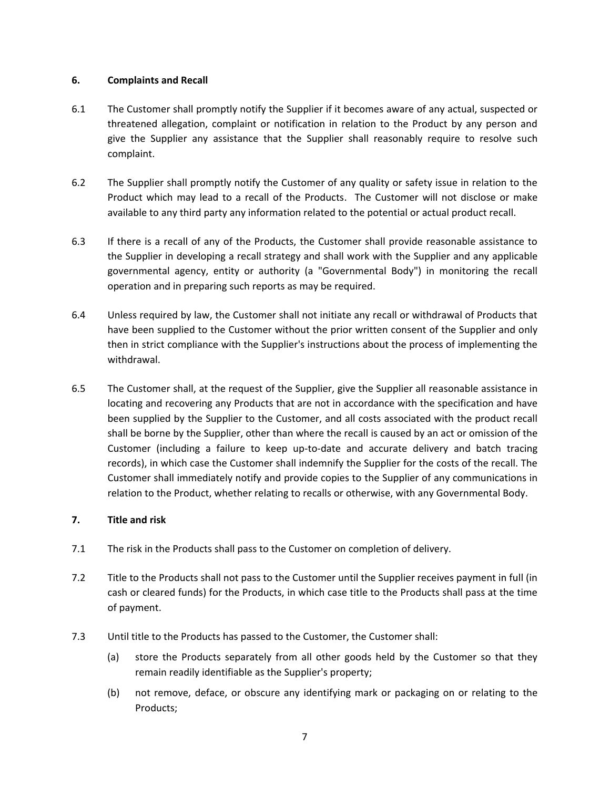## **6. Complaints and Recall**

- 6.1 The Customer shall promptly notify the Supplier if it becomes aware of any actual, suspected or threatened allegation, complaint or notification in relation to the Product by any person and give the Supplier any assistance that the Supplier shall reasonably require to resolve such complaint.
- 6.2 The Supplier shall promptly notify the Customer of any quality or safety issue in relation to the Product which may lead to a recall of the Products. The Customer will not disclose or make available to any third party any information related to the potential or actual product recall.
- 6.3 If there is a recall of any of the Products, the Customer shall provide reasonable assistance to the Supplier in developing a recall strategy and shall work with the Supplier and any applicable governmental agency, entity or authority (a "Governmental Body") in monitoring the recall operation and in preparing such reports as may be required.
- 6.4 Unless required by law, the Customer shall not initiate any recall or withdrawal of Products that have been supplied to the Customer without the prior written consent of the Supplier and only then in strict compliance with the Supplier's instructions about the process of implementing the withdrawal.
- 6.5 The Customer shall, at the request of the Supplier, give the Supplier all reasonable assistance in locating and recovering any Products that are not in accordance with the specification and have been supplied by the Supplier to the Customer, and all costs associated with the product recall shall be borne by the Supplier, other than where the recall is caused by an act or omission of the Customer (including a failure to keep up-to-date and accurate delivery and batch tracing records), in which case the Customer shall indemnify the Supplier for the costs of the recall. The Customer shall immediately notify and provide copies to the Supplier of any communications in relation to the Product, whether relating to recalls or otherwise, with any Governmental Body.

# **7. Title and risk**

- 7.1 The risk in the Products shall pass to the Customer on completion of delivery.
- 7.2 Title to the Products shall not pass to the Customer until the Supplier receives payment in full (in cash or cleared funds) for the Products, in which case title to the Products shall pass at the time of payment.
- 7.3 Until title to the Products has passed to the Customer, the Customer shall:
	- (a) store the Products separately from all other goods held by the Customer so that they remain readily identifiable as the Supplier's property;
	- (b) not remove, deface, or obscure any identifying mark or packaging on or relating to the Products;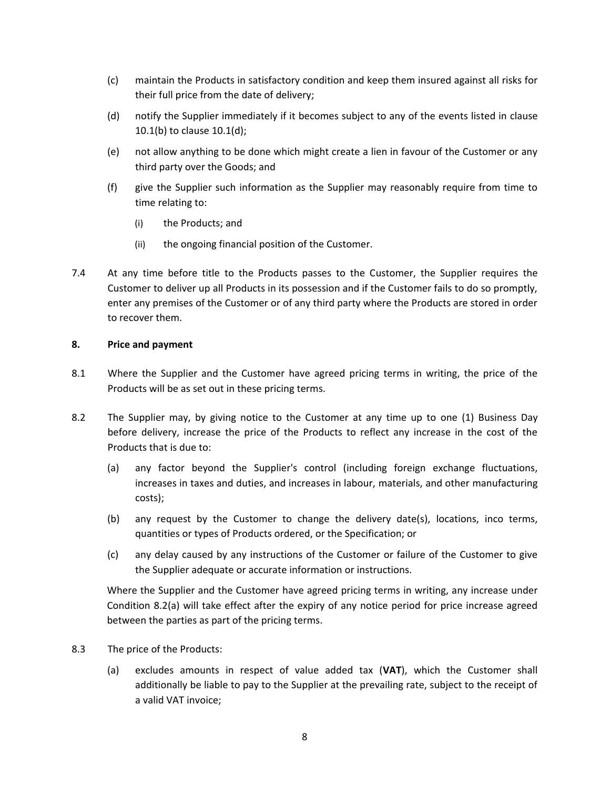- (c) maintain the Products in satisfactory condition and keep them insured against all risks for their full price from the date of delivery;
- (d) notify the Supplier immediately if it becomes subject to any of the events listed in [clause](#page-10-0)  [10.1\(b\)](#page-10-0) to [clause 10.1\(d\);](#page-10-1)
- (e) not allow anything to be done which might create a lien in favour of the Customer or any third party over the Goods; and
- (f) give the Supplier such information as the Supplier may reasonably require from time to time relating to:
	- (i) the Products; and
	- (ii) the ongoing financial position of the Customer.
- 7.4 At any time before title to the Products passes to the Customer, the Supplier requires the Customer to deliver up all Products in its possession and if the Customer fails to do so promptly, enter any premises of the Customer or of any third party where the Products are stored in order to recover them.

#### **8. Price and payment**

- 8.1 Where the Supplier and the Customer have agreed pricing terms in writing, the price of the Products will be as set out in these pricing terms.
- <span id="page-7-1"></span><span id="page-7-0"></span>8.2 The Supplier may, by giving notice to the Customer at any time up to one (1) Business Day before delivery, increase the price of the Products to reflect any increase in the cost of the Products that is due to:
	- (a) any factor beyond the Supplier's control (including foreign exchange fluctuations, increases in taxes and duties, and increases in labour, materials, and other manufacturing costs);
	- (b) any request by the Customer to change the delivery date(s), locations, inco terms, quantities or types of Products ordered, or the Specification; or
	- (c) any delay caused by any instructions of the Customer or failure of the Customer to give the Supplier adequate or accurate information or instructions.

Where the Supplier and the Customer have agreed pricing terms in writing, any increase under Condition [8.2](#page-7-0)[\(a\)](#page-7-1) will take effect after the expiry of any notice period for price increase agreed between the parties as part of the pricing terms.

- 8.3 The price of the Products:
	- (a) excludes amounts in respect of value added tax (**VAT**), which the Customer shall additionally be liable to pay to the Supplier at the prevailing rate, subject to the receipt of a valid VAT invoice;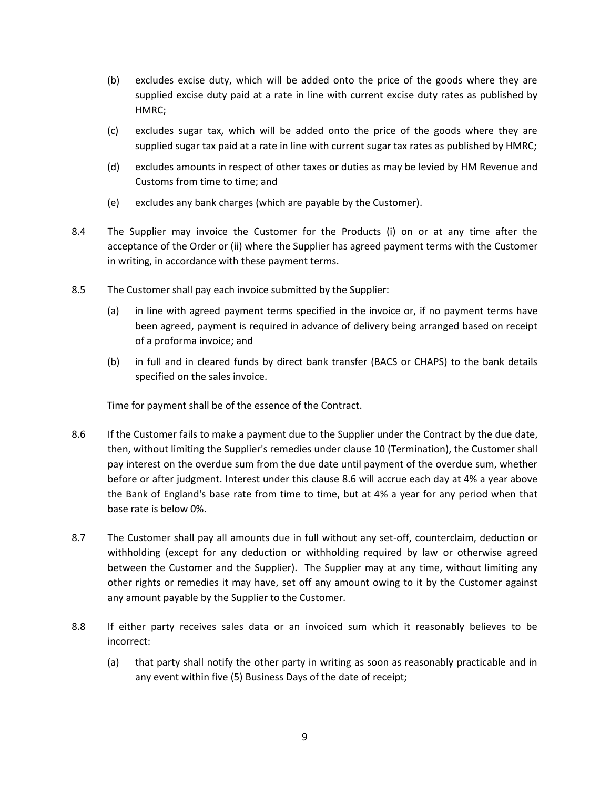- (b) excludes excise duty, which will be added onto the price of the goods where they are supplied excise duty paid at a rate in line with current excise duty rates as published by HMRC;
- (c) excludes sugar tax, which will be added onto the price of the goods where they are supplied sugar tax paid at a rate in line with current sugar tax rates as published by HMRC;
- (d) excludes amounts in respect of other taxes or duties as may be levied by HM Revenue and Customs from time to time; and
- (e) excludes any bank charges (which are payable by the Customer).
- 8.4 The Supplier may invoice the Customer for the Products (i) on or at any time after the acceptance of the Order or (ii) where the Supplier has agreed payment terms with the Customer in writing, in accordance with these payment terms.
- 8.5 The Customer shall pay each invoice submitted by the Supplier:
	- (a) in line with agreed payment terms specified in the invoice or, if no payment terms have been agreed, payment is required in advance of delivery being arranged based on receipt of a proforma invoice; and
	- (b) in full and in cleared funds by direct bank transfer (BACS or CHAPS) to the bank details specified on the sales invoice.

Time for payment shall be of the essence of the Contract.

- <span id="page-8-0"></span>8.6 If the Customer fails to make a payment due to the Supplier under the Contract by the due date, then, without limiting the Supplier's remedies under [clause 10](#page-10-2) (Termination), the Customer shall pay interest on the overdue sum from the due date until payment of the overdue sum, whether before or after judgment. Interest under this [clause 8.6](#page-8-0) will accrue each day at 4% a year above the Bank of England's base rate from time to time, but at 4% a year for any period when that base rate is below 0%.
- 8.7 The Customer shall pay all amounts due in full without any set-off, counterclaim, deduction or withholding (except for any deduction or withholding required by law or otherwise agreed between the Customer and the Supplier). The Supplier may at any time, without limiting any other rights or remedies it may have, set off any amount owing to it by the Customer against any amount payable by the Supplier to the Customer.
- 8.8 If either party receives sales data or an invoiced sum which it reasonably believes to be incorrect:
	- (a) that party shall notify the other party in writing as soon as reasonably practicable and in any event within five (5) Business Days of the date of receipt;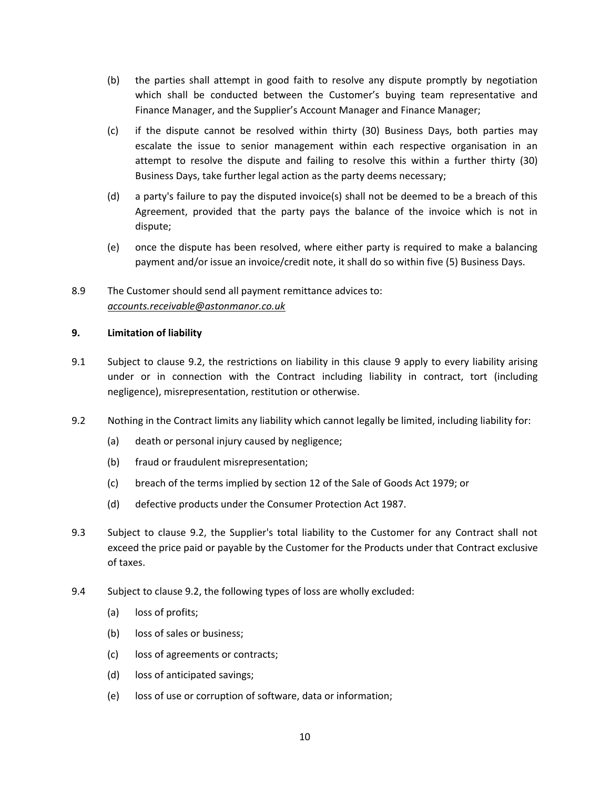- (b) the parties shall attempt in good faith to resolve any dispute promptly by negotiation which shall be conducted between the Customer's buying team representative and Finance Manager, and the Supplier's Account Manager and Finance Manager;
- (c) if the dispute cannot be resolved within thirty (30) Business Days, both parties may escalate the issue to senior management within each respective organisation in an attempt to resolve the dispute and failing to resolve this within a further thirty (30) Business Days, take further legal action as the party deems necessary;
- (d) a party's failure to pay the disputed invoice(s) shall not be deemed to be a breach of this Agreement, provided that the party pays the balance of the invoice which is not in dispute;
- (e) once the dispute has been resolved, where either party is required to make a balancing payment and/or issue an invoice/credit note, it shall do so within five (5) Business Days.
- 8.9 The Customer should send all payment remittance advices to: *[accounts.receivable@astonmanor.co.uk](mailto:accounts.receivable@astonmanor.co.uk)*

# <span id="page-9-1"></span>**9. Limitation of liability**

- 9.1 Subject to [clause 9.2,](#page-9-0) the restrictions on liability in this [clause 9](#page-9-1) apply to every liability arising under or in connection with the Contract including liability in contract, tort (including negligence), misrepresentation, restitution or otherwise.
- <span id="page-9-0"></span>9.2 Nothing in the Contract limits any liability which cannot legally be limited, including liability for:
	- (a) death or personal injury caused by negligence;
	- (b) fraud or fraudulent misrepresentation;
	- (c) breach of the terms implied by section 12 of the Sale of Goods Act 1979; or
	- (d) defective products under the Consumer Protection Act 1987.
- 9.3 Subject to [clause 9.2,](#page-9-0) the Supplier's total liability to the Customer for any Contract shall not exceed the price paid or payable by the Customer for the Products under that Contract exclusive of taxes.
- 9.4 Subject to [clause 9.2,](#page-9-0) the following types of loss are wholly excluded:
	- (a) loss of profits;
	- (b) loss of sales or business;
	- (c) loss of agreements or contracts;
	- (d) loss of anticipated savings;
	- (e) loss of use or corruption of software, data or information;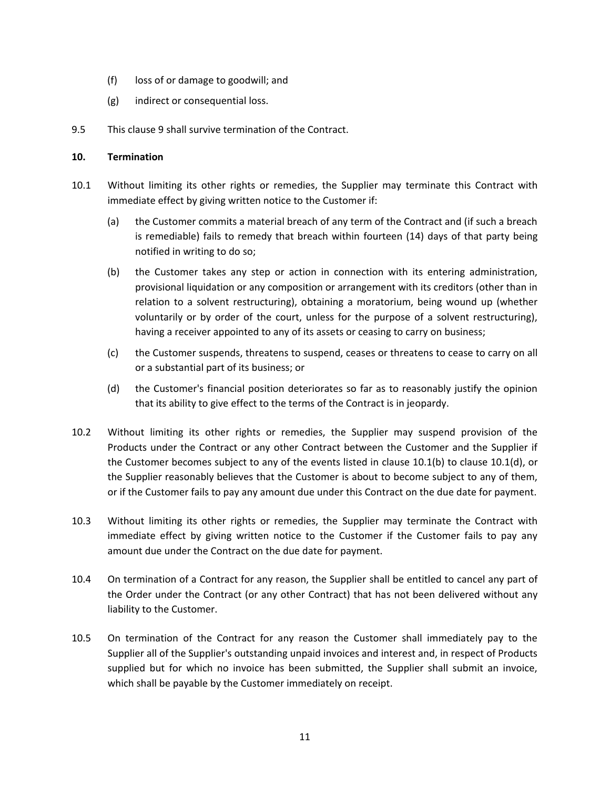- (f) loss of or damage to goodwill; and
- (g) indirect or consequential loss.
- 9.5 This [clause 9](#page-9-1) shall survive termination of the Contract.

### <span id="page-10-2"></span>**10. Termination**

- <span id="page-10-0"></span>10.1 Without limiting its other rights or remedies, the Supplier may terminate this Contract with immediate effect by giving written notice to the Customer if:
	- (a) the Customer commits a material breach of any term of the Contract and (if such a breach is remediable) fails to remedy that breach within fourteen (14) days of that party being notified in writing to do so;
	- (b) the Customer takes any step or action in connection with its entering administration, provisional liquidation or any composition or arrangement with its creditors (other than in relation to a solvent restructuring), obtaining a moratorium, being wound up (whether voluntarily or by order of the court, unless for the purpose of a solvent restructuring), having a receiver appointed to any of its assets or ceasing to carry on business;
	- (c) the Customer suspends, threatens to suspend, ceases or threatens to cease to carry on all or a substantial part of its business; or
	- (d) the Customer's financial position deteriorates so far as to reasonably justify the opinion that its ability to give effect to the terms of the Contract is in jeopardy.
- <span id="page-10-1"></span>10.2 Without limiting its other rights or remedies, the Supplier may suspend provision of the Products under the Contract or any other Contract between the Customer and the Supplier if the Customer becomes subject to any of the events listed in [clause 10.1\(b\)](#page-10-0) to [clause 10.1\(d\),](#page-10-1) or the Supplier reasonably believes that the Customer is about to become subject to any of them, or if the Customer fails to pay any amount due under this Contract on the due date for payment.
- 10.3 Without limiting its other rights or remedies, the Supplier may terminate the Contract with immediate effect by giving written notice to the Customer if the Customer fails to pay any amount due under the Contract on the due date for payment.
- <span id="page-10-3"></span>10.4 On termination of a Contract for any reason, the Supplier shall be entitled to cancel any part of the Order under the Contract (or any other Contract) that has not been delivered without any liability to the Customer.
- 10.5 On termination of the Contract for any reason the Customer shall immediately pay to the Supplier all of the Supplier's outstanding unpaid invoices and interest and, in respect of Products supplied but for which no invoice has been submitted, the Supplier shall submit an invoice, which shall be payable by the Customer immediately on receipt.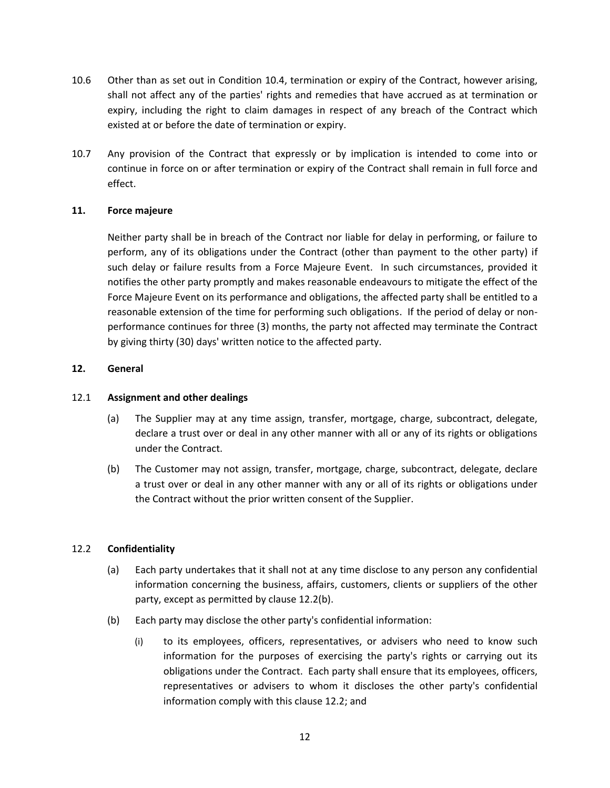- 10.6 Other than as set out in Condition [10.4,](#page-10-3) termination or expiry of the Contract, however arising, shall not affect any of the parties' rights and remedies that have accrued as at termination or expiry, including the right to claim damages in respect of any breach of the Contract which existed at or before the date of termination or expiry.
- 10.7 Any provision of the Contract that expressly or by implication is intended to come into or continue in force on or after termination or expiry of the Contract shall remain in full force and effect.

### **11. Force majeure**

Neither party shall be in breach of the Contract nor liable for delay in performing, or failure to perform, any of its obligations under the Contract (other than payment to the other party) if such delay or failure results from a Force Majeure Event. In such circumstances, provided it notifies the other party promptly and makes reasonable endeavours to mitigate the effect of the Force Majeure Event on its performance and obligations, the affected party shall be entitled to a reasonable extension of the time for performing such obligations. If the period of delay or nonperformance continues for three (3) months, the party not affected may terminate the Contract by giving thirty (30) days' written notice to the affected party.

# **12. General**

## 12.1 **Assignment and other dealings**

- (a) The Supplier may at any time assign, transfer, mortgage, charge, subcontract, delegate, declare a trust over or deal in any other manner with all or any of its rights or obligations under the Contract.
- (b) The Customer may not assign, transfer, mortgage, charge, subcontract, delegate, declare a trust over or deal in any other manner with any or all of its rights or obligations under the Contract without the prior written consent of the Supplier.

### 12.2 **Confidentiality**

- <span id="page-11-0"></span>(a) Each party undertakes that it shall not at any time disclose to any person any confidential information concerning the business, affairs, customers, clients or suppliers of the other party, except as permitted b[y clause 12.2\(b\).](#page-11-1)
- <span id="page-11-1"></span>(b) Each party may disclose the other party's confidential information:
	- (i) to its employees, officers, representatives, or advisers who need to know such information for the purposes of exercising the party's rights or carrying out its obligations under the Contract. Each party shall ensure that its employees, officers, representatives or advisers to whom it discloses the other party's confidential information comply with this [clause 12.2;](#page-11-0) and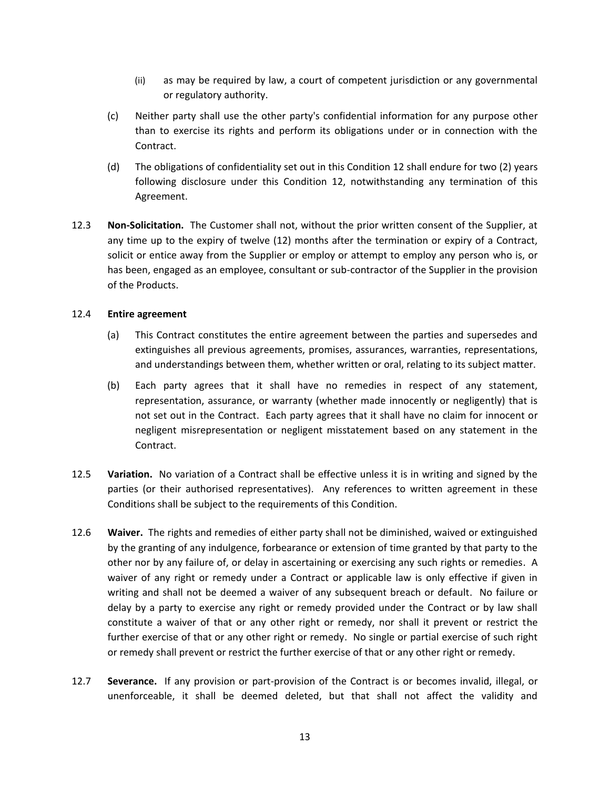- (ii) as may be required by law, a court of competent jurisdiction or any governmental or regulatory authority.
- (c) Neither party shall use the other party's confidential information for any purpose other than to exercise its rights and perform its obligations under or in connection with the Contract.
- (d) The obligations of confidentiality set out in this Condition 12 shall endure for two (2) years following disclosure under this Condition 12, notwithstanding any termination of this Agreement.
- 12.3 **Non-Solicitation.** The Customer shall not, without the prior written consent of the Supplier, at any time up to the expiry of twelve (12) months after the termination or expiry of a Contract, solicit or entice away from the Supplier or employ or attempt to employ any person who is, or has been, engaged as an employee, consultant or sub-contractor of the Supplier in the provision of the Products.

#### 12.4 **Entire agreement**

- (a) This Contract constitutes the entire agreement between the parties and supersedes and extinguishes all previous agreements, promises, assurances, warranties, representations, and understandings between them, whether written or oral, relating to its subject matter.
- (b) Each party agrees that it shall have no remedies in respect of any statement, representation, assurance, or warranty (whether made innocently or negligently) that is not set out in the Contract. Each party agrees that it shall have no claim for innocent or negligent misrepresentation or negligent misstatement based on any statement in the Contract.
- 12.5 **Variation.** No variation of a Contract shall be effective unless it is in writing and signed by the parties (or their authorised representatives). Any references to written agreement in these Conditions shall be subject to the requirements of this Condition.
- 12.6 **Waiver.** The rights and remedies of either party shall not be diminished, waived or extinguished by the granting of any indulgence, forbearance or extension of time granted by that party to the other nor by any failure of, or delay in ascertaining or exercising any such rights or remedies. A waiver of any right or remedy under a Contract or applicable law is only effective if given in writing and shall not be deemed a waiver of any subsequent breach or default. No failure or delay by a party to exercise any right or remedy provided under the Contract or by law shall constitute a waiver of that or any other right or remedy, nor shall it prevent or restrict the further exercise of that or any other right or remedy. No single or partial exercise of such right or remedy shall prevent or restrict the further exercise of that or any other right or remedy.
- <span id="page-12-0"></span>12.7 **Severance.** If any provision or part-provision of the Contract is or becomes invalid, illegal, or unenforceable, it shall be deemed deleted, but that shall not affect the validity and